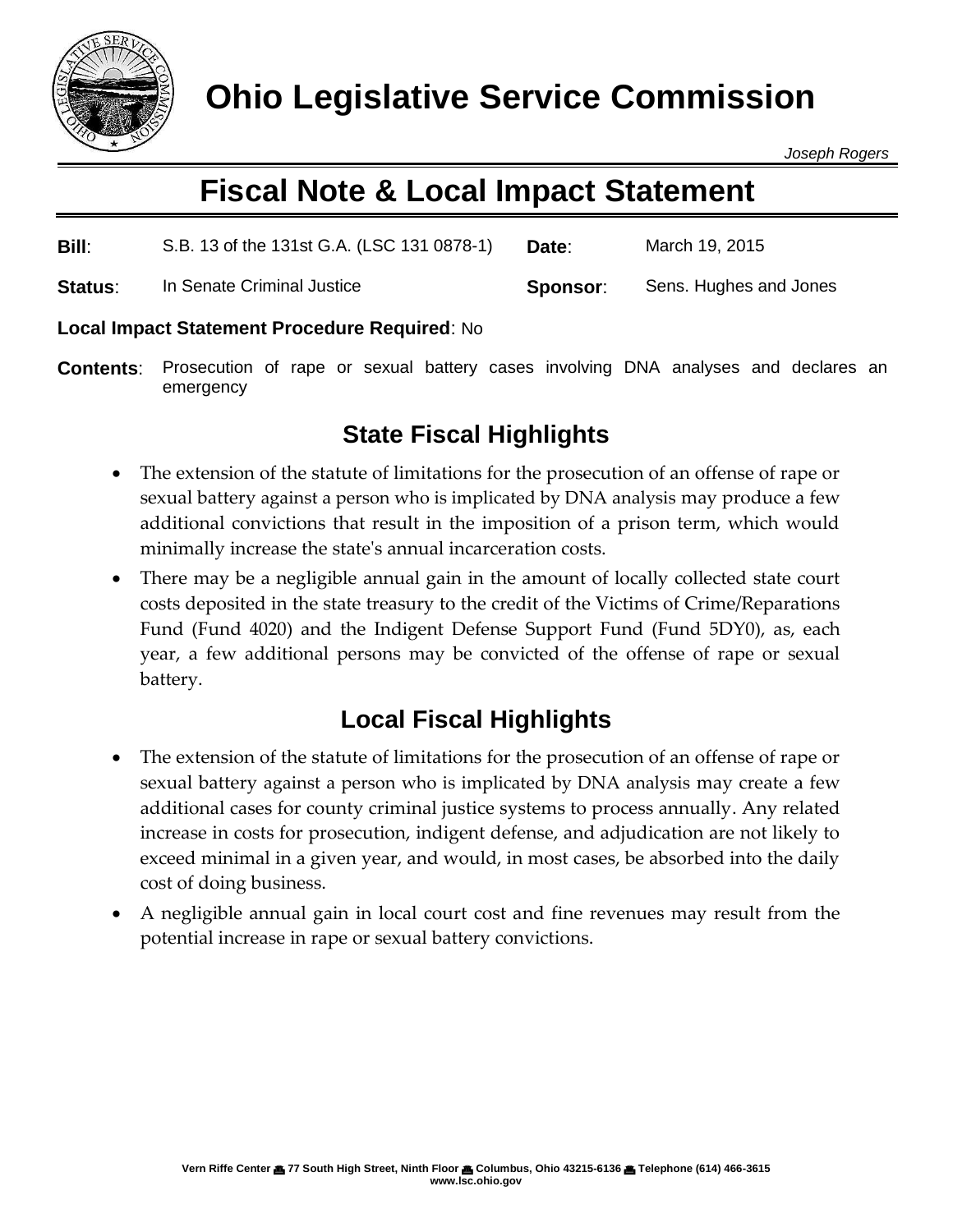

*Joseph Rogers*

# **Fiscal Note & Local Impact Statement**

| Bill:   | S.B. 13 of the 131st G.A. (LSC 131 0878-1) | Date:    | March 19, 2015         |
|---------|--------------------------------------------|----------|------------------------|
| Status: | In Senate Criminal Justice                 | Sponsor: | Sens. Hughes and Jones |

### **Local Impact Statement Procedure Required**: No

**Contents**: Prosecution of rape or sexual battery cases involving DNA analyses and declares an emergency

## **State Fiscal Highlights**

- The extension of the statute of limitations for the prosecution of an offense of rape or sexual battery against a person who is implicated by DNA analysis may produce a few additional convictions that result in the imposition of a prison term, which would minimally increase the state's annual incarceration costs.
- There may be a negligible annual gain in the amount of locally collected state court costs deposited in the state treasury to the credit of the Victims of Crime/Reparations Fund (Fund 4020) and the Indigent Defense Support Fund (Fund 5DY0), as, each year, a few additional persons may be convicted of the offense of rape or sexual battery.

## **Local Fiscal Highlights**

- The extension of the statute of limitations for the prosecution of an offense of rape or sexual battery against a person who is implicated by DNA analysis may create a few additional cases for county criminal justice systems to process annually. Any related increase in costs for prosecution, indigent defense, and adjudication are not likely to exceed minimal in a given year, and would, in most cases, be absorbed into the daily cost of doing business.
- A negligible annual gain in local court cost and fine revenues may result from the potential increase in rape or sexual battery convictions.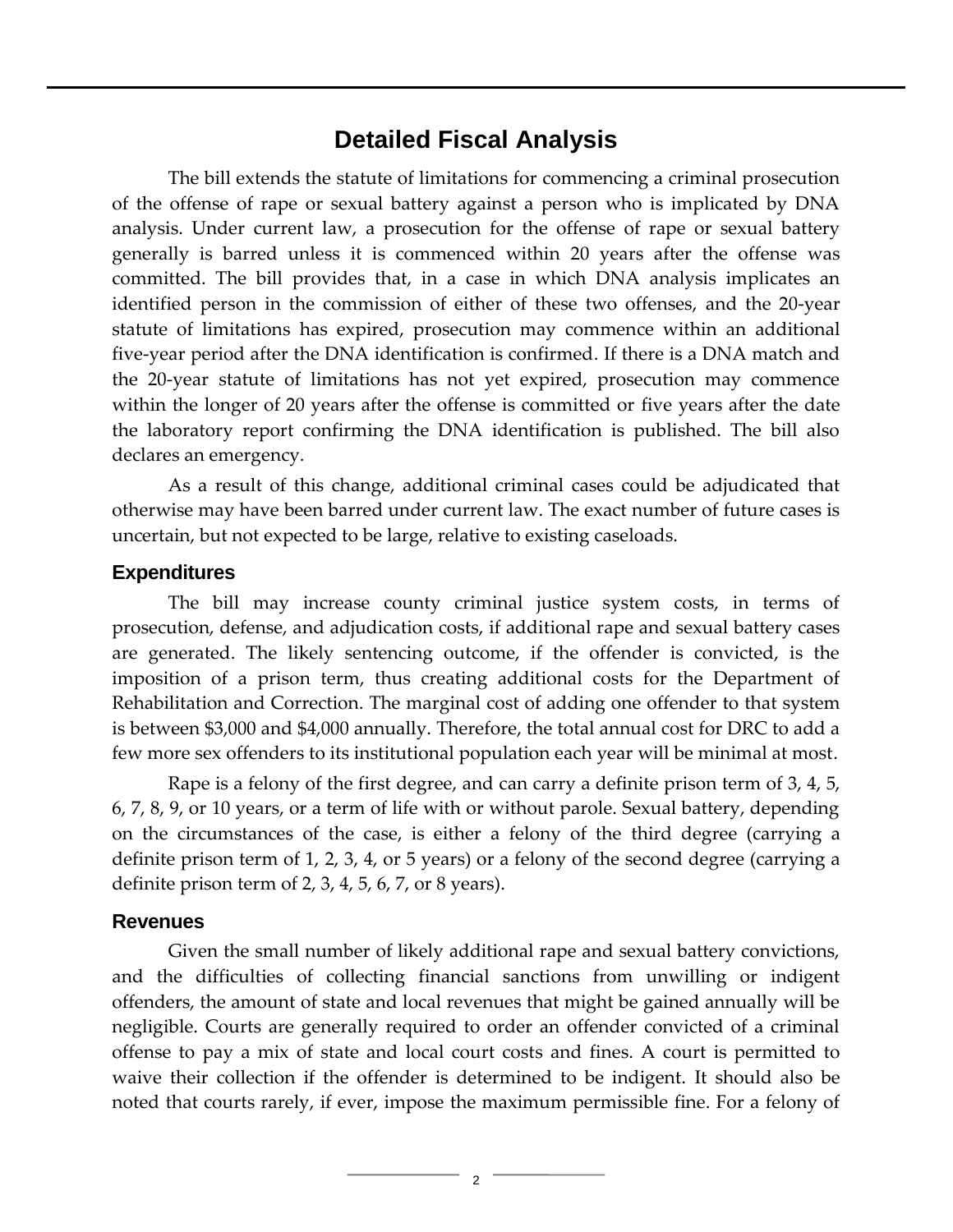### **Detailed Fiscal Analysis**

The bill extends the statute of limitations for commencing a criminal prosecution of the offense of rape or sexual battery against a person who is implicated by DNA analysis. Under current law, a prosecution for the offense of rape or sexual battery generally is barred unless it is commenced within 20 years after the offense was committed. The bill provides that, in a case in which DNA analysis implicates an identified person in the commission of either of these two offenses, and the 20-year statute of limitations has expired, prosecution may commence within an additional five-year period after the DNA identification is confirmed. If there is a DNA match and the 20-year statute of limitations has not yet expired, prosecution may commence within the longer of 20 years after the offense is committed or five years after the date the laboratory report confirming the DNA identification is published. The bill also declares an emergency.

As a result of this change, additional criminal cases could be adjudicated that otherwise may have been barred under current law. The exact number of future cases is uncertain, but not expected to be large, relative to existing caseloads.

#### **Expenditures**

The bill may increase county criminal justice system costs, in terms of prosecution, defense, and adjudication costs, if additional rape and sexual battery cases are generated. The likely sentencing outcome, if the offender is convicted, is the imposition of a prison term, thus creating additional costs for the Department of Rehabilitation and Correction. The marginal cost of adding one offender to that system is between \$3,000 and \$4,000 annually. Therefore, the total annual cost for DRC to add a few more sex offenders to its institutional population each year will be minimal at most.

Rape is a felony of the first degree, and can carry a definite prison term of 3, 4, 5, 6, 7, 8, 9, or 10 years, or a term of life with or without parole. Sexual battery, depending on the circumstances of the case, is either a felony of the third degree (carrying a definite prison term of 1, 2, 3, 4, or 5 years) or a felony of the second degree (carrying a definite prison term of 2, 3, 4, 5, 6, 7, or 8 years).

#### **Revenues**

Given the small number of likely additional rape and sexual battery convictions, and the difficulties of collecting financial sanctions from unwilling or indigent offenders, the amount of state and local revenues that might be gained annually will be negligible. Courts are generally required to order an offender convicted of a criminal offense to pay a mix of state and local court costs and fines. A court is permitted to waive their collection if the offender is determined to be indigent. It should also be noted that courts rarely, if ever, impose the maximum permissible fine. For a felony of